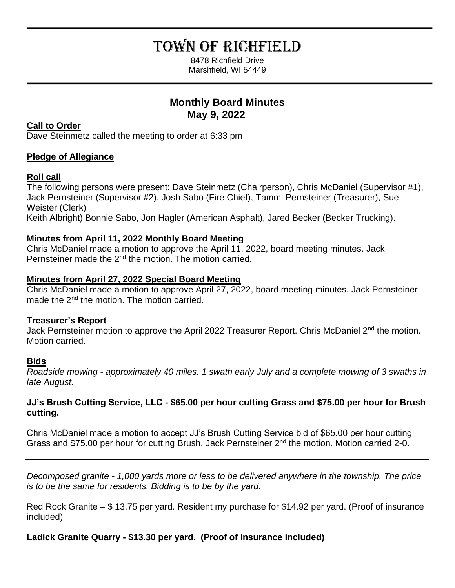# TOWN OF RICHFIELD

8478 Richfield Drive Marshfield, WI 54449

# **Monthly Board Minutes May 9, 2022**

# **Call to Order**

Dave Steinmetz called the meeting to order at 6:33 pm

# **Pledge of Allegiance**

# **Roll call**

The following persons were present: Dave Steinmetz (Chairperson), Chris McDaniel (Supervisor #1), Jack Pernsteiner (Supervisor #2), Josh Sabo (Fire Chief), Tammi Pernsteiner (Treasurer), Sue Weister (Clerk)

Keith Albright) Bonnie Sabo, Jon Hagler (American Asphalt), Jared Becker (Becker Trucking).

# **Minutes from April 11, 2022 Monthly Board Meeting**

Chris McDaniel made a motion to approve the April 11, 2022, board meeting minutes. Jack Pernsteiner made the 2<sup>nd</sup> the motion. The motion carried.

# **Minutes from April 27, 2022 Special Board Meeting**

Chris McDaniel made a motion to approve April 27, 2022, board meeting minutes. Jack Pernsteiner made the 2<sup>nd</sup> the motion. The motion carried.

# **Treasurer's Report**

Jack Pernsteiner motion to approve the April 2022 Treasurer Report. Chris McDaniel 2<sup>nd</sup> the motion. Motion carried.

# **Bids**

*Roadside mowing - approximately 40 miles. 1 swath early July and a complete mowing of 3 swaths in late August.*

# **JJ's Brush Cutting Service, LLC - \$65.00 per hour cutting Grass and \$75.00 per hour for Brush cutting.**

Chris McDaniel made a motion to accept JJ's Brush Cutting Service bid of \$65.00 per hour cutting Grass and \$75.00 per hour for cutting Brush. Jack Pernsteiner 2<sup>nd</sup> the motion. Motion carried 2-0.

*Decomposed granite - 1,000 yards more or less to be delivered anywhere in the township. The price is to be the same for residents. Bidding is to be by the yard.*

Red Rock Granite – \$ 13.75 per yard. Resident my purchase for \$14.92 per yard. (Proof of insurance included)

**Ladick Granite Quarry - \$13.30 per yard. (Proof of Insurance included)**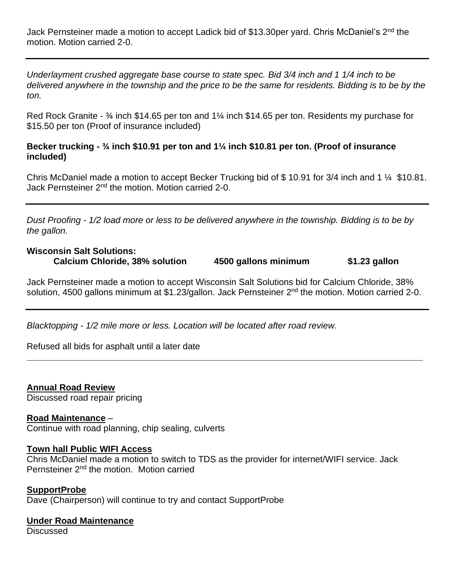Jack Pernsteiner made a motion to accept Ladick bid of \$13.30per yard. Chris McDaniel's 2<sup>nd</sup> the motion. Motion carried 2-0.

*Underlayment crushed aggregate base course to state spec. Bid 3/4 inch and 1 1/4 inch to be*  delivered anywhere in the township and the price to be the same for residents. Bidding is to be by the *ton.*

Red Rock Granite - <sup>3</sup>/4 inch \$14.65 per ton and 1<sup>1</sup>/4 inch \$14.65 per ton. Residents my purchase for \$15.50 per ton (Proof of insurance included)

#### **Becker trucking - ¾ inch \$10.91 per ton and 1¼ inch \$10.81 per ton. (Proof of insurance included)**

Chris McDaniel made a motion to accept Becker Trucking bid of \$ 10.91 for 3/4 inch and 1 ¼ \$10.81. Jack Pernsteiner 2<sup>nd</sup> the motion. Motion carried 2-0.

*Dust Proofing - 1/2 load more or less to be delivered anywhere in the township. Bidding is to be by the gallon.*

# **Wisconsin Salt Solutions:**

**Calcium Chloride, 38% solution 4500 gallons minimum \$1.23 gallon**

Jack Pernsteiner made a motion to accept Wisconsin Salt Solutions bid for Calcium Chloride, 38% solution, 4500 gallons minimum at \$1.23/gallon. Jack Pernsteiner 2<sup>nd</sup> the motion. Motion carried 2-0.

**\_\_\_\_\_\_\_\_\_\_\_\_\_\_\_\_\_\_\_\_\_\_\_\_\_\_\_\_\_\_\_\_\_\_\_\_\_\_\_\_\_\_\_\_\_\_\_\_\_\_\_\_\_\_\_\_\_\_\_\_\_\_\_\_\_\_\_\_\_\_\_\_\_\_\_\_\_\_\_\_**

*Blacktopping - 1/2 mile more or less. Location will be located after road review.*

Refused all bids for asphalt until a later date

**Annual Road Review**

Discussed road repair pricing

#### **Road Maintenance** –

Continue with road planning, chip sealing, culverts

#### **Town hall Public WIFI Access**

Chris McDaniel made a motion to switch to TDS as the provider for internet/WIFI service. Jack Pernsteiner 2<sup>nd</sup> the motion. Motion carried

#### **SupportProbe**

Dave (Chairperson) will continue to try and contact SupportProbe

# **Under Road Maintenance**

**Discussed**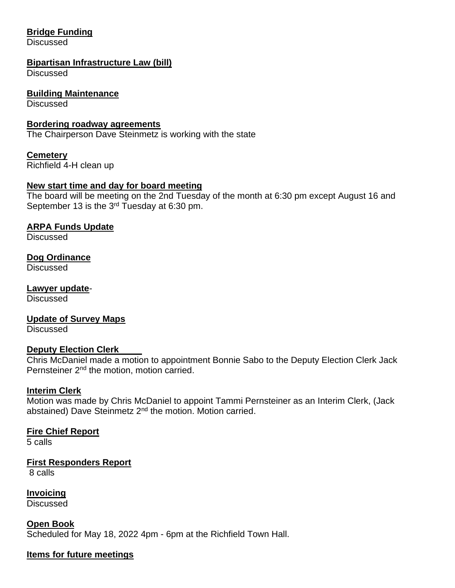# **Bridge Funding**

**Discussed** 

#### **Bipartisan Infrastructure Law (bill)**

**Discussed** 

#### **Building Maintenance**

**Discussed** 

#### **Bordering roadway agreements**

The Chairperson Dave Steinmetz is working with the state

#### **Cemetery**

Richfield 4-H clean up

#### **New start time and day for board meeting**

The board will be meeting on the 2nd Tuesday of the month at 6:30 pm except August 16 and September 13 is the  $3<sup>rd</sup>$  Tuesday at 6:30 pm.

#### **ARPA Funds Update**

**Discussed** 

#### **Dog Ordinance**

**Discussed** 

# **Lawyer update**-

**Discussed** 

# **Update of Survey Maps**

**Discussed** 

#### **Deputy Election Clerk**

Chris McDaniel made a motion to appointment Bonnie Sabo to the Deputy Election Clerk Jack Pernsteiner 2<sup>nd</sup> the motion, motion carried.

#### **Interim Clerk**

Motion was made by Chris McDaniel to appoint Tammi Pernsteiner as an Interim Clerk, (Jack abstained) Dave Steinmetz 2<sup>nd</sup> the motion. Motion carried.

#### **Fire Chief Report**

5 calls

# **First Responders Report**

8 calls

**Invoicing**

Discussed

**Open Book** Scheduled for May 18, 2022 4pm - 6pm at the Richfield Town Hall.

#### **Items for future meetings**